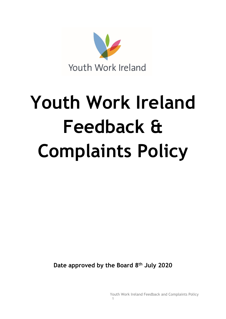

# **Youth Work Ireland Feedback & Complaints Policy**

**Date approved by the Board 8 th July 2020**

Youth Work Ireland Feedback and Complaints Policy

1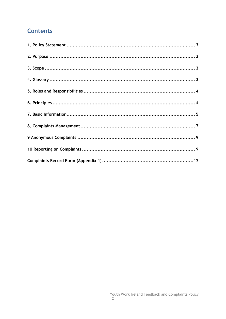# **Contents**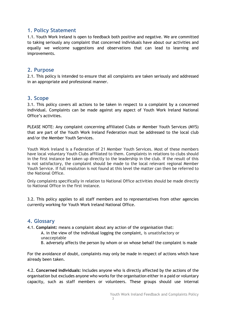## <span id="page-2-0"></span>**1. Policy Statement**

1.1. Youth Work Ireland is open to feedback both positive and negative. We are committed to taking seriously any complaint that concerned individuals have about our activities and equally we welcome suggestions and observations that can lead to learning and improvements.

## <span id="page-2-1"></span>**2. Purpose**

2.1. This policy is intended to ensure that all complaints are taken seriously and addressed in an appropriate and professional manner.

## <span id="page-2-2"></span>**3. Scope**

3.1. This policy covers all actions to be taken in respect to a complaint by a concerned individual. Complaints can be made against any aspect of Youth Work Ireland National Office's activities.

PLEASE NOTE: Any complaint concerning affiliated Clubs or Member Youth Services (MYS) that are part of the Youth Work Ireland Federation must be addressed to the local club and/or the Member Youth Services.

Youth Work Ireland is a Federation of 21 Member Youth Services. Most of these members have local voluntary Youth Clubs affiliated to them. Complaints in relations to clubs should in the first instance be taken up directly to the leadership in the club. If the result of this is not satisfactory, the complaint should be made to the local relevant regional Member Youth Service. If full resolution is not found at this level the matter can then be referred to the National Office.

Only complaints specifically in relation to National Office activities should be made directly to National Office in the first instance.

3.2. This policy applies to all staff members and to representatives from other agencies currently working for Youth Work Ireland National Office.

## <span id="page-2-3"></span>**4. Glossary**

4.1. **Complaint:** means a complaint about any action of the organisation that:

A. in the view of the individual logging the complaint, is unsatisfactory or unacceptable

B. adversely affects the person by whom or on whose behalf the complaint is made

For the avoidance of doubt, complaints may only be made in respect of actions which have already been taken.

4.2. **Concerned individuals:** Includes anyone who is directly affected by the actions of the organisation but excludes anyone who works for the organisation either in a paid or voluntary capacity, such as staff members or volunteers. These groups should use internal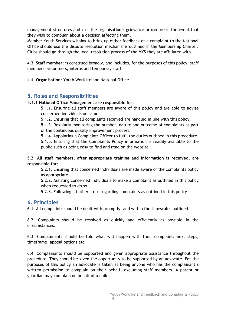management structures and / or the organisation's grievance procedure in the event that they wish to complain about a decision affecting them.

Member Youth Services wishing to bring up either feedback or a complaint to the National Office should use the dispute resolution mechanisms outlined in the Membership Charter. Clubs should go through the local resolution process of the MYS they are affiliated with.

4.3. **Staff member:** is construed broadly, and includes, for the purposes of this policy: staff members, volunteers, interns and temporary staff.

4.4. **Organisation:** Youth Work Ireland National Office

## <span id="page-3-0"></span>**5. Roles and Responsibilities**

## **5.1.1 National Office Management are responsible for:**

5.1.1. Ensuring all staff members are aware of this policy and are able to advise concerned individuals on same.

5.1.2. Ensuring that all complaints received are handled in line with this policy.

5.1.3. Regularly monitoring the number, nature and outcome of complaints as part of the continuous quality improvement process.

5.1.4. Appointing a Complaints Officer to fulfil the duties outlined in this procedure.

5.1.5. Ensuring that the Complaints Policy information is readily available to the public such as being easy to find and read on the website

5.2. **All staff members, after appropriate training and information is received, are responsible for:**

5.2.1. Ensuring that concerned individuals are made aware of the complaints policy as appropriate

5.2.2. Assisting concerned individuals to make a complaint as outlined in this policy when requested to do so

5.2.3. Following all other steps regarding complaints as outlined in this policy

## <span id="page-3-1"></span>**6. Principles**

6.1. All complaints should be dealt with promptly, and within the timescales outlined.

6.2. Complaints should be resolved as quickly and efficiently as possible in the circumstances.

6.3. Complainants should be told what will happen with their complaint: next steps, timeframe, appeal options etc

6.4. Complainants should be supported and given appropriate assistance throughout the procedure. They should be given the opportunity to be supported by an advocate. For the purposes of this policy an advocate is taken as being anyone who has the complainant's written permission to complain on their behalf, excluding staff members. A parent or guardian may complain on behalf of a child.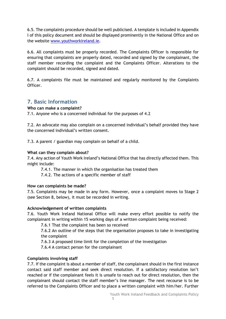6.5. The complaints procedure should be well publicised. A template is included in Appendix I of this policy document and should be displayed prominently in the National Office and on the website [www.youthworkireland.ie.](http://www.youthworkireland.ie/)

6.6. All complaints must be properly recorded. The Complaints Officer is responsible for ensuring that complaints are properly dated, recorded and signed by the complainant, the staff member recording the complaint and the Complaints Officer. Alterations to the complaint should be recorded, signed and dated.

6.7. A complaints file must be maintained and regularly monitored by the Complaints Officer.

## <span id="page-4-0"></span>**7. Basic Information**

## **Who can make a complaint?**

7.1. Anyone who is a concerned individual for the purposes of 4.2

7.2. An advocate may also complain on a concerned individual's behalf provided they have the concerned individual's written consent.

7.3. A parent / guardian may complain on behalf of a child.

## **What can they complain about?**

7.4. Any action of Youth Work Ireland's National Office that has directly affected them. This might include:

7.4.1. The manner in which the organisation has treated them

7.4.2. The actions of a specific member of staff

## **How can complaints be made?**

7.5. Complaints may be made in any form. However, once a complaint moves to Stage 2 (see Section 8, below), it must be recorded in writing.

## **Acknowledgement of written complaints**

7.6. Youth Work Ireland National Office will make every effort possible to notify the complainant in writing within 15 working days of a written complaint being received:

7.6.1 That the complaint has been so received

7.6.2 An outline of the steps that the organisation proposes to take in investigating the complaint

7.6.3 A proposed time limit for the completion of the investigation

7.6.4 A contact person for the complainant

## **Complaints involving staff**

7.7. If the complaint is about a member of staff, the complainant should in the first instance contact said staff member and seek direct resolution. If a satisfactory resolution isn't reached or if the complainant feels it is unsafe to reach out for direct resolution, then the complainant should contact the staff member's line manager. The next recourse is to be referred to the Complaints Officer and to place a written complaint with him/her. Further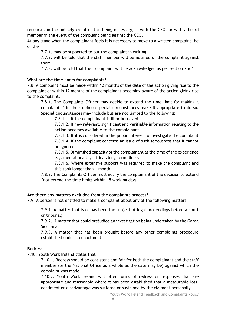recourse, in the unlikely event of this being necessary, is with the CEO, or with a board member in the event of the complaint being against the CEO.

At any stage when the complainant feels it is necessary to move to a written complaint, he or she

7.7.1. may be supported to put the complaint in writing

7.7.2. will be told that the staff member will be notified of the complaint against them

7.7.3. will be told that their complaint will be acknowledged as per section 7.6.1

#### **What are the time limits for complaints?**

7.8. A complaint must be made within 12 months of the date of the action giving rise to the complaint or within 12 months of the complainant becoming aware of the action giving rise to the complaint.

7.8.1. The Complaints Officer may decide to extend the time limit for making a complaint if in their opinion special circumstances make it appropriate to do so. Special circumstances may include but are not limited to the following:

7.8.1.1. If the complainant is ill or bereaved

7.8.1.2. If new relevant, significant and verifiable information relating to the action becomes available to the complainant

7.8.1.3. If it is considered in the public interest to investigate the complaint 7.8.1.4. If the complaint concerns an issue of such seriousness that it cannot be ignored

7.8.1.5. Diminished capacity of the complainant at the time of the experience e.g. mental health, critical/long-term illness

7.8.1.6. Where extensive support was required to make the complaint and this took longer than 1 month

7.8.2. The Complaints Officer must notify the complainant of the decision to extend /not extend the time limits within 15 working days

## **Are there any matters excluded from the complaints process?**

7.9. A person is not entitled to make a complaint about any of the following matters:

7.9.1. A matter that is or has been the subject of legal proceedings before a court or tribunal;

7.9.2. A matter that could prejudice an investigation being undertaken by the Garda Síochána;

7.9.9. A matter that has been brought before any other complaints procedure established under an enactment.

#### **Redress**

7.10. Youth Work Ireland states that

7.10.1. Redress should be consistent and fair for both the complainant and the staff member (or the National Office as a whole as the case may be) against which the complaint was made.

7.10.2. Youth Work Ireland will offer forms of redress or responses that are appropriate and reasonable where it has been established that a measurable loss, detriment or disadvantage was suffered or sustained by the claimant personally.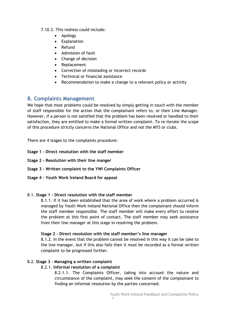## 7.10.3. This redress could include:

- Apology
- Explanation
- Refund
- Admission of fault
- Change of decision
- Replacement
- Correction of misleading or incorrect records
- Technical or financial assistance
- Recommendation to make a change to a relevant policy or activity

## <span id="page-6-0"></span>**8. Complaints Management**

We hope that most problems could be resolved by simply getting in touch with the member of staff responsible for the action that the complainant refers to, or their Line Manager. However, if a person is not satisfied that the problem has been resolved or handled to their satisfaction, they are entitled to make a formal written complaint. To re-iterate the scope of this procedure strictly concerns the National Office and not the MYS or clubs.

There are 4 stages to the complaints procedure:

- **Stage 1 - Direct resolution with the staff member**
- **Stage 2 - Resolution with their line manger**
- **Stage 3 – Written complaint to the YWI Complaints Officer**
- **Stage 4 – Youth Work Ireland Board for appeal**

## 8.1. **Stage 1 - Direct resolution with the staff member**

8.1.1. If it has been established that the area of work where a problem occurred is managed by Youth Work Ireland National Office then the complainant should inform the staff member responsible. The staff member will make every effort to resolve the problem at this first point of contact. The staff member may seek assistance from their line manager at this stage in resolving the problem.

## **Stage 2 - Direct resolution with the staff member's line manager**

8.1.2. In the event that the problem cannot be resolved in this way it can be take to the line manager, but if this also fails then it must be recorded as a formal written complaint to be progressed further.

## 8.2. **Stage 3 - Managing a written complaint**

## 8.2.1. **Informal resolution of a complaint**

8.2.1.1. The Complaints Officer, taking into account the nature and circumstance of the complaint, may seek the consent of the complainant to finding an informal resolution by the parties concerned.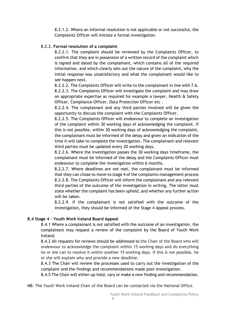8.2.1.2. Where an informal resolution is not applicable or not successful, the Complaints Officer will initiate a formal investigation.

## 8.2.2. **Formal resolution of a complaint**

8.2.2.1. The complaint should be reviewed by the Complaints Officer, to confirm that they are in possession of a written record of the complaint which is signed and dated by the complainant, which contains all of the required information, and which clearly sets out the nature of the complaint, why the initial response was unsatisfactory and what the complainant would like to see happen next.

8.2.2.2. The Complaints Officer will write to the complainant in line with 7.6. 8.2.2.3. The Complaints Officer will investigate the complaint and may draw on appropriate expertise as required for example a lawyer, Health & Safety Officer, Compliance Officer, Data Protection Officer etc .

8.2.2.4. The complainant and any third parties involved will be given the opportunity to discuss the complaint with the Complaints Officer.

8.2.2.5. The Complaints Officer will endeavour to complete an investigation of the complaint within 30 working days of acknowledging the complaint. If this is not possible, within 30 working days of acknowledging the complaint, the complainant must be informed of the delay and given an indication of the time it will take to complete the investigation. The complainant and relevant third parties must be updated every 20 working days.

8.2.2.6. Where the investigation passes the 30 working days timeframe, the complainant must be informed of the delay and the Complaints Officer must endeavour to complete the investigation within 6 months.

8.2.2.7. Where deadlines are not met, the complainant must be informed that they can chose to move to stage 4 of the complaints management process 8.2.2.8. The Complaints Officer will inform the complainant and any relevant third parties of the outcome of the investigation in writing. The letter must state whether the complaint has been upheld, and whether any further action will be taken.

8.2.2.9. If the complainant is not satisfied with the outcome of the investigation, they should be informed of the Stage 4 Appeal process.

## **8.4 Stage 4 – Youth Work Ireland Board Appeal**

8.4.1 Where a complainant is not satisfied with the outcome of an investigation, the complainant may request a review of the complaint by the Board of Youth Work Ireland.

8.4.2 All requests for reviews should be addressed to the Chair of the Board who will endeavour to acknowledge the complaint within 15 working days and do everything he or she can to resolve it within another 15 working days. If this is not possible, he or she will explain why and provide a new deadline.

8.4.3 The Chair will review the processes used to carry out the investigation of the complaint and the findings and recommendations made post-investigation.

8.4.5 The Chair will either up-hold, vary or make a new finding and recommendation.

NB: The Youth Work Ireland Chair of the Board can be contacted via the National Office.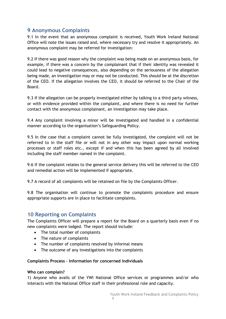## <span id="page-8-0"></span>**9 Anonymous Complaints**

9.1 In the event that an anonymous complaint is received, Youth Work Ireland National Office will note the issues raised and, where necessary try and resolve it appropriately. An anonymous complaint may be referred for investigation:

9.2 If there was good reason why the complaint was being made on an anonymous basis, for example, if there was a concern by the complainant that if their identity was revealed it could lead to negative consequences, also depending on the seriousness of the allegation being made, an investigation may or may not be conducted. This should be at the discretion of the CEO. If the allegation involves the CEO, it should be referred to the Chair of the Board.

9.3 If the allegation can be properly investigated either by talking to a third party witness, or with evidence provided within the complaint, and where there is no need for further contact with the anonymous complainant, an investigation may take place.

9.4 Any complaint involving a minor will be investigated and handled in a confidential manner according to the organisation's Safeguarding Policy.

9.5 In the case that a complaint cannot be fully investigated, the complaint will not be referred to in the staff file or will not in any other way impact upon normal working processes or staff roles etc., except if and when this has been agreed by all involved including the staff member named in the complaint.

9.6 If the complaint relates to the general service delivery this will be referred to the CEO and remedial action will be implemented if appropriate.

9.7 A record of all complaints will be retained on file by the Complaints Officer.

9.8 The organisation will continue to promote the complaints procedure and ensure appropriate supports are in place to facilitate complaints.

## <span id="page-8-1"></span>**10 Reporting on Complaints**

The Complaints Officer will prepare a report for the Board on a quarterly basis even if no new complaints were lodged. The report should include:

- The total number of complaints
- The nature of complaints
- The number of complaints resolved by informal means
- The outcome of any investigations into the complaints

#### **Complaints Process – Information for concerned individuals**

#### **Who can complain?**

1) Anyone who avails of the YWI National Office services or programmes and/or who interacts with the National Office staff in their professional role and capacity.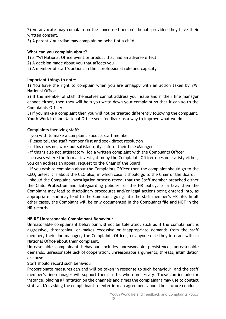2) An advocate may complain on the concerned person's behalf provided they have their written consent.

3) A parent / guardian may complain on behalf of a child.

#### **What can you complain about?**

1) a YWI National Office event or product that had an adverse effect

2) A decision made about you that affects you

5) A member of staff's actions in their professional role and capacity

#### **Important things to note:**

1) You have the right to complain when you are unhappy with an action taken by YWI National Office.

2) If the member of staff themselves cannot address your issue and if their line manager cannot either, then they will help you write down your complaint so that it can go to the Complaints Officer

3) If you make a complaint then you will not be treated differently following the complaint. Youth Work Ireland National Office sees feedback as a way to improve what we do.

## **Complaints involving staff:**

If you wish to make a complaint about a staff member

- Please tell the staff member first and seek direct resolution
- if this does not work out satisfactorily, inform their Line Manager
- if this is also not satisfactory, log a written complaint with the Complaints Officer

- in cases where the formal investigation by the Complaints Officer does not satisfy either, you can address an appeal request to the Chair of the Board

- If you wish to complain about the Complaints Officer then the complaint should go to the CEO, unless it is about the CEO also, in which case it should go to the Chair of the Board.

- should the Complaint Investigation process reveal that the Staff member breached either the Child Protection and Safeguarding policies, or the HR policy, or a law, then the Complaint may lead to disciplinary procedures and/or legal actions being entered into, as appropriate, and may lead to the Complaint going into the staff member's HR file. In all other cases, the Complaint will be only documented in the Complaints file and NOT in the HR records.

## **NB RE Unreasonable Complainant Behaviour**:

Unreasonable complainant behaviour will not be tolerated, such as if the complainant is aggressive, threatening, or makes excessive or inappropriate demands from the staff member, their line manager, the Complaints Officer, or anyone else they interact with in National Office about their complaint.

Unreasonable complainant behaviour includes unreasonable persistence, unreasonable demands, unreasonable lack of cooperation, unreasonable arguments, threats, intimidation or abuse.

Staff should record such behaviour.

Proportionate measures can and will be taken in response to such behaviour, and the staff member's line manager will support them in this where necessary. These can include for instance, placing a limitation on the channels and times the complainant may use to contact staff and/or asking the complainant to enter into an agreement about their future conduct.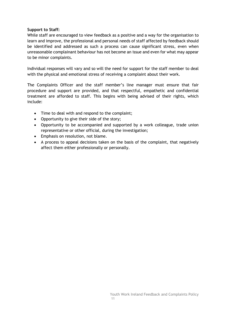#### **Support to Staff:**

While staff are encouraged to view feedback as a positive and a way for the organisation to learn and improve, the professional and personal needs of staff affected by feedback should be identified and addressed as such a process can cause significant stress, even when unreasonable complainant behaviour has not become an issue and even for what may appear to be minor complaints.

Individual responses will vary and so will the need for support for the staff member to deal with the physical and emotional stress of receiving a complaint about their work.

The Complaints Officer and the staff member's line manager must ensure that fair procedure and support are provided, and that respectful, empathetic and confidential treatment are afforded to staff. This begins with being advised of their rights, which include:

- Time to deal with and respond to the complaint;
- Opportunity to give their side of the story;
- Opportunity to be accompanied and supported by a work colleague, trade union representative or other official, during the investigation;
- Emphasis on resolution, not blame.
- A process to appeal decisions taken on the basis of the complaint, that negatively affect them either professionally or personally.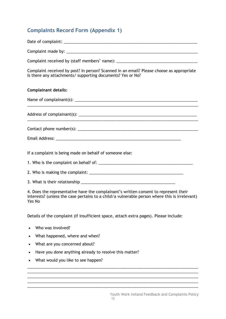## <span id="page-11-0"></span>**Complaints Record Form (Appendix 1)**

| Complaint received by (staff members' name): ___________________________________                                                                       |
|--------------------------------------------------------------------------------------------------------------------------------------------------------|
| Complaint received by post? In person? Scanned in an email? Please choose as appropriate<br>Is there any attachments/ supporting documents? Yes or No? |
| <b>Complainant details:</b>                                                                                                                            |
|                                                                                                                                                        |
|                                                                                                                                                        |
|                                                                                                                                                        |
|                                                                                                                                                        |
| If a complaint is being made on behalf of someone else:                                                                                                |
|                                                                                                                                                        |
|                                                                                                                                                        |
|                                                                                                                                                        |

4. Does the representative have the complainant's written consent to represent their interests? (unless the case pertains to a child/a vulnerable person where this is irrelevant) Yes No

\_\_\_\_\_\_\_\_\_\_\_\_\_\_\_\_\_\_\_\_\_\_\_\_\_\_\_\_\_\_\_\_\_\_\_\_\_\_\_\_\_\_\_\_\_\_\_\_\_\_\_\_\_\_\_\_\_\_\_\_\_\_\_\_\_\_\_\_\_\_\_\_\_\_\_\_\_\_ \_\_\_\_\_\_\_\_\_\_\_\_\_\_\_\_\_\_\_\_\_\_\_\_\_\_\_\_\_\_\_\_\_\_\_\_\_\_\_\_\_\_\_\_\_\_\_\_\_\_\_\_\_\_\_\_\_\_\_\_\_\_\_\_\_\_\_\_\_\_\_\_\_\_\_\_\_\_

\_\_\_\_\_\_\_\_\_\_\_\_\_\_\_\_\_\_\_\_\_\_\_\_\_\_\_\_\_\_\_\_\_\_\_\_\_\_\_\_\_\_\_\_\_\_\_\_\_\_\_\_\_\_\_\_\_\_\_\_\_\_\_\_\_\_\_\_\_\_\_\_\_\_\_\_\_\_ \_\_\_\_\_\_\_\_\_\_\_\_\_\_\_\_\_\_\_\_\_\_\_\_\_\_\_\_\_\_\_\_\_\_\_\_\_\_\_\_\_\_\_\_\_\_\_\_\_\_\_\_\_\_\_\_\_\_\_\_\_\_\_\_\_\_\_\_\_\_\_\_\_\_\_\_\_\_

Details of the complaint (If insufficient space, attach extra pages). Please include:

- Who was involved?
- What happened, where and when?
- What are you concerned about?
- Have you done anything already to resolve this matter?
- What would you like to see happen?